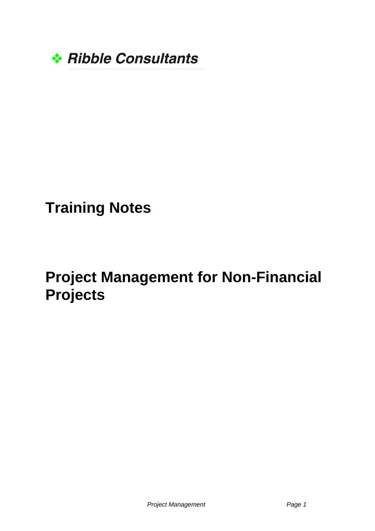

## **Training Notes**

## **Project Management for Non-Financial Projects**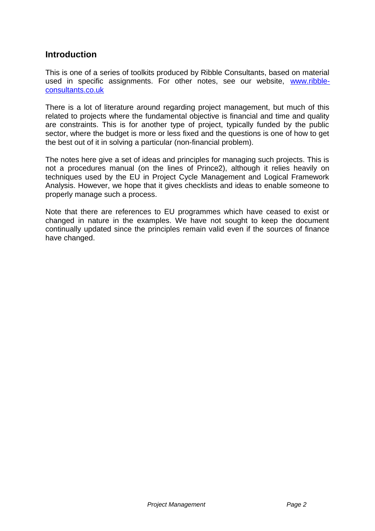## **Introduction**

This is one of a series of toolkits produced by Ribble Consultants, based on material used in specific assignments. For other notes, see our website, [www.ribble](http://www.ribble-consultants.co.uk/)[consultants.co.uk](http://www.ribble-consultants.co.uk/)

There is a lot of literature around regarding project management, but much of this related to projects where the fundamental objective is financial and time and quality are constraints. This is for another type of project, typically funded by the public sector, where the budget is more or less fixed and the questions is one of how to get the best out of it in solving a particular (non-financial problem).

The notes here give a set of ideas and principles for managing such projects. This is not a procedures manual (on the lines of Prince2), although it relies heavily on techniques used by the EU in Project Cycle Management and Logical Framework Analysis. However, we hope that it gives checklists and ideas to enable someone to properly manage such a process.

Note that there are references to EU programmes which have ceased to exist or changed in nature in the examples. We have not sought to keep the document continually updated since the principles remain valid even if the sources of finance have changed.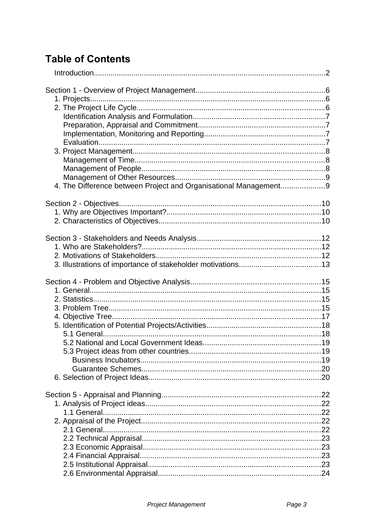## **Table of Contents**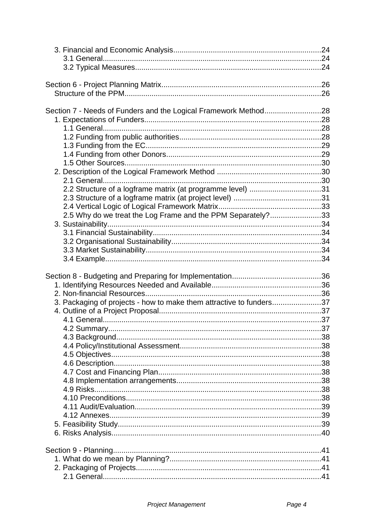| Section 7 - Needs of Funders and the Logical Framework Method28     |  |
|---------------------------------------------------------------------|--|
|                                                                     |  |
|                                                                     |  |
|                                                                     |  |
|                                                                     |  |
|                                                                     |  |
|                                                                     |  |
|                                                                     |  |
|                                                                     |  |
| 2.2 Structure of a logframe matrix (at programme level) 31          |  |
|                                                                     |  |
|                                                                     |  |
| 2.5 Why do we treat the Log Frame and the PPM Separately?33         |  |
|                                                                     |  |
|                                                                     |  |
|                                                                     |  |
|                                                                     |  |
|                                                                     |  |
|                                                                     |  |
|                                                                     |  |
|                                                                     |  |
|                                                                     |  |
|                                                                     |  |
| 3. Packaging of projects - how to make them attractive to funders37 |  |
|                                                                     |  |
|                                                                     |  |
|                                                                     |  |
|                                                                     |  |
|                                                                     |  |
|                                                                     |  |
|                                                                     |  |
|                                                                     |  |
|                                                                     |  |
|                                                                     |  |
|                                                                     |  |
|                                                                     |  |
|                                                                     |  |
|                                                                     |  |
|                                                                     |  |
|                                                                     |  |
|                                                                     |  |
|                                                                     |  |
|                                                                     |  |